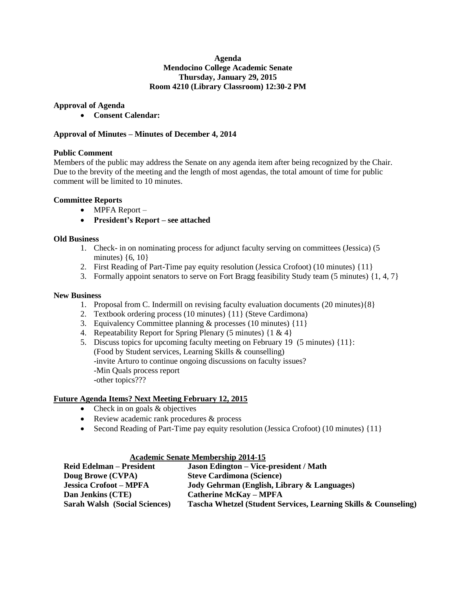### **Agenda Mendocino College Academic Senate Thursday, January 29, 2015 Room 4210 (Library Classroom) 12:30-2 PM**

## **Approval of Agenda**

**Consent Calendar:**

## **Approval of Minutes – Minutes of December 4, 2014**

### **Public Comment**

Members of the public may address the Senate on any agenda item after being recognized by the Chair. Due to the brevity of the meeting and the length of most agendas, the total amount of time for public comment will be limited to 10 minutes.

### **Committee Reports**

- MPFA Report –
- **President's Report – see attached**

### **Old Business**

- 1. Check- in on nominating process for adjunct faculty serving on committees (Jessica) (5 minutes)  $\{6, 10\}$
- 2. First Reading of Part-Time pay equity resolution (Jessica Crofoot) (10 minutes) {11}
- 3. Formally appoint senators to serve on Fort Bragg feasibility Study team (5 minutes) {1, 4, 7}

### **New Business**

- 1. Proposal from C. Indermill on revising faculty evaluation documents (20 minutes){8}
- 2. Textbook ordering process (10 minutes) {11} (Steve Cardimona)
- 3. Equivalency Committee planning & processes (10 minutes) {11}
- 4. Repeatability Report for Spring Plenary (5 minutes) {1 & 4}
- 5. Discuss topics for upcoming faculty meeting on February 19 (5 minutes) {11}: (Food by Student services, Learning Skills & counselling) -invite Arturo to continue ongoing discussions on faculty issues? -Min Quals process report -other topics???

### **Future Agenda Items? Next Meeting February 12, 2015**

- Check in on goals & objectives
- Review academic rank procedures & process
- Second Reading of Part-Time pay equity resolution (Jessica Crofoot) (10 minutes) {11}

| Academic Senate Membership 2014-13   |                                                                 |  |
|--------------------------------------|-----------------------------------------------------------------|--|
| <b>Reid Edelman – President</b>      | <b>Jason Edington – Vice-president / Math</b>                   |  |
| Doug Browe (CVPA)                    | <b>Steve Cardimona (Science)</b>                                |  |
| <b>Jessica Crofoot – MPFA</b>        | Jody Gehrman (English, Library & Languages)                     |  |
| Dan Jenkins (CTE)                    | <b>Catherine McKay – MPFA</b>                                   |  |
| <b>Sarah Walsh (Social Sciences)</b> | Tascha Whetzel (Student Services, Learning Skills & Counseling) |  |

# **Academic Senate Membership 2014-15**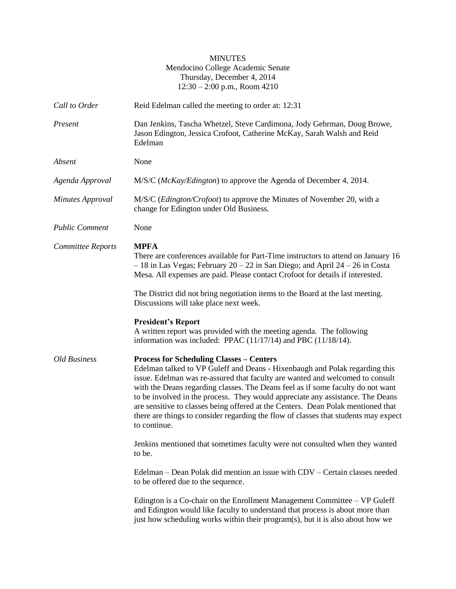# MINUTES Mendocino College Academic Senate Thursday, December 4, 2014 12:30 – 2:00 p.m., Room 4210

| Call to Order            | Reid Edelman called the meeting to order at: 12:31                                                                                                                                                                                                                                                                                                                                                                                                                                                                                                                              |
|--------------------------|---------------------------------------------------------------------------------------------------------------------------------------------------------------------------------------------------------------------------------------------------------------------------------------------------------------------------------------------------------------------------------------------------------------------------------------------------------------------------------------------------------------------------------------------------------------------------------|
| Present                  | Dan Jenkins, Tascha Whetzel, Steve Cardimona, Jody Gehrman, Doug Browe,<br>Jason Edington, Jessica Crofoot, Catherine McKay, Sarah Walsh and Reid<br>Edelman                                                                                                                                                                                                                                                                                                                                                                                                                    |
| Absent                   | None                                                                                                                                                                                                                                                                                                                                                                                                                                                                                                                                                                            |
| Agenda Approval          | M/S/C (McKay/Edington) to approve the Agenda of December 4, 2014.                                                                                                                                                                                                                                                                                                                                                                                                                                                                                                               |
| <b>Minutes Approval</b>  | M/S/C ( <i>Edington/Crofoot</i> ) to approve the Minutes of November 20, with a<br>change for Edington under Old Business.                                                                                                                                                                                                                                                                                                                                                                                                                                                      |
| <b>Public Comment</b>    | None                                                                                                                                                                                                                                                                                                                                                                                                                                                                                                                                                                            |
| <b>Committee Reports</b> | <b>MPFA</b><br>There are conferences available for Part-Time instructors to attend on January 16<br>$-18$ in Las Vegas; February 20 – 22 in San Diego; and April 24 – 26 in Costa<br>Mesa. All expenses are paid. Please contact Crofoot for details if interested.                                                                                                                                                                                                                                                                                                             |
|                          | The District did not bring negotiation items to the Board at the last meeting.<br>Discussions will take place next week.                                                                                                                                                                                                                                                                                                                                                                                                                                                        |
|                          | <b>President's Report</b><br>A written report was provided with the meeting agenda. The following<br>information was included: PPAC $(11/17/14)$ and PBC $(11/18/14)$ .                                                                                                                                                                                                                                                                                                                                                                                                         |
| Old Business             | <b>Process for Scheduling Classes – Centers</b><br>Edelman talked to VP Guleff and Deans - Hixenbaugh and Polak regarding this<br>issue. Edelman was re-assured that faculty are wanted and welcomed to consult<br>with the Deans regarding classes. The Deans feel as if some faculty do not want<br>to be involved in the process. They would appreciate any assistance. The Deans<br>are sensitive to classes being offered at the Centers. Dean Polak mentioned that<br>there are things to consider regarding the flow of classes that students may expect<br>to continue. |
|                          | Jenkins mentioned that sometimes faculty were not consulted when they wanted<br>to be.                                                                                                                                                                                                                                                                                                                                                                                                                                                                                          |
|                          | Edelman – Dean Polak did mention an issue with CDV – Certain classes needed<br>to be offered due to the sequence.                                                                                                                                                                                                                                                                                                                                                                                                                                                               |
|                          | Edington is a Co-chair on the Enrollment Management Committee – VP Guleff<br>and Edington would like faculty to understand that process is about more than<br>just how scheduling works within their program(s), but it is also about how we                                                                                                                                                                                                                                                                                                                                    |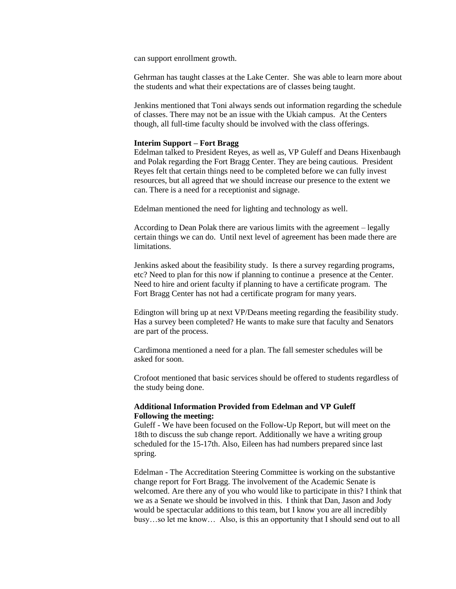can support enrollment growth.

Gehrman has taught classes at the Lake Center. She was able to learn more about the students and what their expectations are of classes being taught.

Jenkins mentioned that Toni always sends out information regarding the schedule of classes. There may not be an issue with the Ukiah campus. At the Centers though, all full-time faculty should be involved with the class offerings.

#### **Interim Support – Fort Bragg**

Edelman talked to President Reyes, as well as, VP Guleff and Deans Hixenbaugh and Polak regarding the Fort Bragg Center. They are being cautious. President Reyes felt that certain things need to be completed before we can fully invest resources, but all agreed that we should increase our presence to the extent we can. There is a need for a receptionist and signage.

Edelman mentioned the need for lighting and technology as well.

According to Dean Polak there are various limits with the agreement – legally certain things we can do. Until next level of agreement has been made there are limitations.

Jenkins asked about the feasibility study. Is there a survey regarding programs, etc? Need to plan for this now if planning to continue a presence at the Center. Need to hire and orient faculty if planning to have a certificate program. The Fort Bragg Center has not had a certificate program for many years.

Edington will bring up at next VP/Deans meeting regarding the feasibility study. Has a survey been completed? He wants to make sure that faculty and Senators are part of the process.

Cardimona mentioned a need for a plan. The fall semester schedules will be asked for soon.

Crofoot mentioned that basic services should be offered to students regardless of the study being done.

### **Additional Information Provided from Edelman and VP Guleff Following the meeting:**

Guleff - We have been focused on the Follow-Up Report, but will meet on the 18th to discuss the sub change report. Additionally we have a writing group scheduled for the 15-17th. Also, Eileen has had numbers prepared since last spring.

Edelman - The Accreditation Steering Committee is working on the substantive change report for Fort Bragg. The involvement of the Academic Senate is welcomed. Are there any of you who would like to participate in this? I think that we as a Senate we should be involved in this. I think that Dan, Jason and Jody would be spectacular additions to this team, but I know you are all incredibly busy…so let me know… Also, is this an opportunity that I should send out to all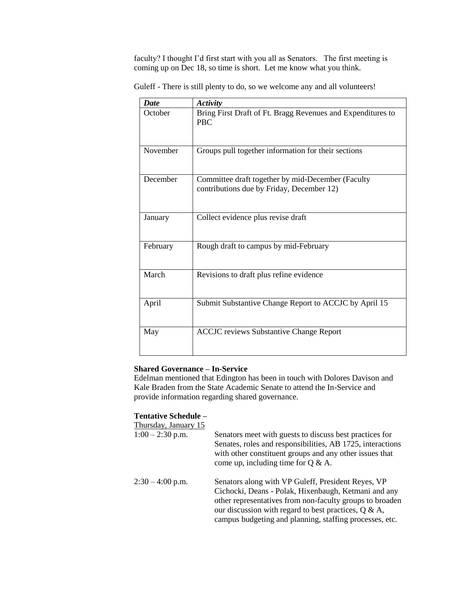faculty? I thought I'd first start with you all as Senators. The first meeting is coming up on Dec 18, so time is short. Let me know what you think.

|  | Guleff - There is still plenty to do, so we welcome any and all volunteers! |  |
|--|-----------------------------------------------------------------------------|--|
|--|-----------------------------------------------------------------------------|--|

| <b>Date</b> | <b>Activity</b>                                                                                |
|-------------|------------------------------------------------------------------------------------------------|
| October     | Bring First Draft of Ft. Bragg Revenues and Expenditures to<br><b>PBC</b>                      |
| November    | Groups pull together information for their sections                                            |
| December    | Committee draft together by mid-December (Faculty<br>contributions due by Friday, December 12) |
| January     | Collect evidence plus revise draft                                                             |
| February    | Rough draft to campus by mid-February                                                          |
| March       | Revisions to draft plus refine evidence                                                        |
| April       | Submit Substantive Change Report to ACCJC by April 15                                          |
| May         | <b>ACCJC</b> reviews Substantive Change Report                                                 |

## **Shared Governance – In-Service**

Edelman mentioned that Edington has been in touch with Dolores Davison and Kale Braden from the State Academic Senate to attend the In-Service and provide information regarding shared governance.

# **Tentative Schedule –**

| Thursday, January 15 |                                                                                                                                                                                                                                                                                               |
|----------------------|-----------------------------------------------------------------------------------------------------------------------------------------------------------------------------------------------------------------------------------------------------------------------------------------------|
| $1:00 - 2:30$ p.m.   | Senators meet with guests to discuss best practices for<br>Senates, roles and responsibilities, AB 1725, interactions<br>with other constituent groups and any other issues that<br>come up, including time for $Q \& A$ .                                                                    |
| $2:30 - 4:00$ p.m.   | Senators along with VP Guleff, President Reyes, VP<br>Cichocki, Deans - Polak, Hixenbaugh, Ketmani and any<br>other representatives from non-faculty groups to broaden<br>our discussion with regard to best practices, $Q \& A$ ,<br>campus budgeting and planning, staffing processes, etc. |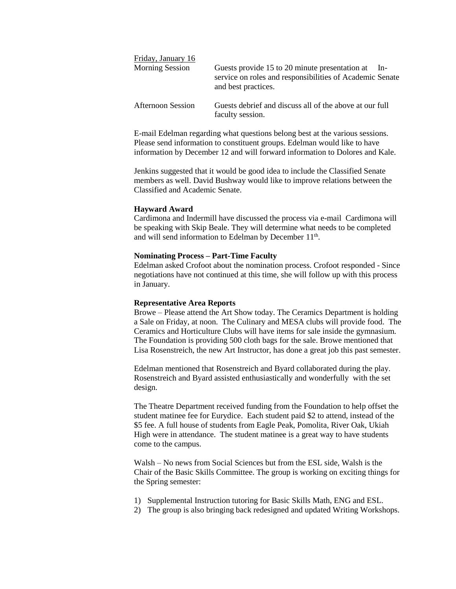| Friday, January 16     |                                                                                                                                            |
|------------------------|--------------------------------------------------------------------------------------------------------------------------------------------|
| <b>Morning Session</b> | Guests provide 15 to 20 minute presentation at<br>$In-$<br>service on roles and responsibilities of Academic Senate<br>and best practices. |
| Afternoon Session      | Guests debrief and discuss all of the above at our full<br>faculty session.                                                                |

E-mail Edelman regarding what questions belong best at the various sessions. Please send information to constituent groups. Edelman would like to have information by December 12 and will forward information to Dolores and Kale.

Jenkins suggested that it would be good idea to include the Classified Senate members as well. David Bushway would like to improve relations between the Classified and Academic Senate.

#### **Hayward Award**

Cardimona and Indermill have discussed the process via e-mail Cardimona will be speaking with Skip Beale. They will determine what needs to be completed and will send information to Edelman by December 11<sup>th</sup>.

#### **Nominating Process – Part-Time Faculty**

Edelman asked Crofoot about the nomination process. Crofoot responded - Since negotiations have not continued at this time, she will follow up with this process in January.

### **Representative Area Reports**

Browe – Please attend the Art Show today. The Ceramics Department is holding a Sale on Friday, at noon. The Culinary and MESA clubs will provide food. The Ceramics and Horticulture Clubs will have items for sale inside the gymnasium. The Foundation is providing 500 cloth bags for the sale. Browe mentioned that Lisa Rosenstreich, the new Art Instructor, has done a great job this past semester.

Edelman mentioned that Rosenstreich and Byard collaborated during the play. Rosenstreich and Byard assisted enthusiastically and wonderfully with the set design.

The Theatre Department received funding from the Foundation to help offset the student matinee fee for Eurydice. Each student paid \$2 to attend, instead of the \$5 fee. A full house of students from Eagle Peak, Pomolita, River Oak, Ukiah High were in attendance. The student matinee is a great way to have students come to the campus.

Walsh – No news from Social Sciences but from the ESL side, Walsh is the Chair of the Basic Skills Committee. The group is working on exciting things for the Spring semester:

- 1) Supplemental Instruction tutoring for Basic Skills Math, ENG and ESL.
- 2) The group is also bringing back redesigned and updated Writing Workshops.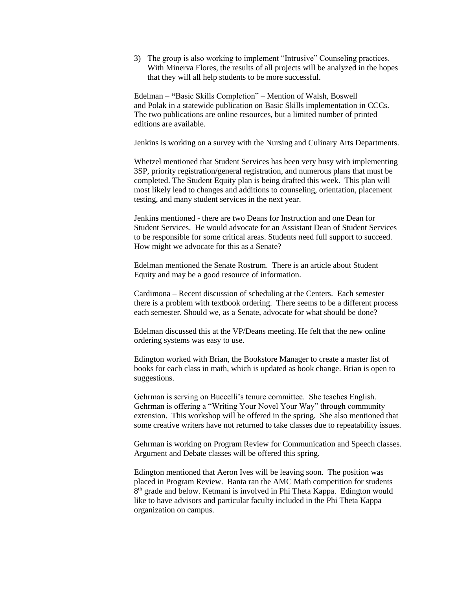3) The group is also working to implement "Intrusive" Counseling practices. With Minerva Flores, the results of all projects will be analyzed in the hopes that they will all help students to be more successful.

Edelman – **"**Basic Skills Completion" – Mention of Walsh, Boswell and Polak in a statewide publication on Basic Skills implementation in CCCs. The two publications are online resources, but a limited number of printed editions are available.

Jenkins is working on a survey with the Nursing and Culinary Arts Departments.

Whetzel mentioned that Student Services has been very busy with implementing 3SP, priority registration/general registration, and numerous plans that must be completed. The Student Equity plan is being drafted this week. This plan will most likely lead to changes and additions to counseling, orientation, placement testing, and many student services in the next year.

Jenkin**s** mentioned - there are two Deans for Instruction and one Dean for Student Services. He would advocate for an Assistant Dean of Student Services to be responsible for some critical areas. Students need full support to succeed. How might we advocate for this as a Senate?

Edelman mentioned the Senate Rostrum. There is an article about Student Equity and may be a good resource of information.

Cardimona – Recent discussion of scheduling at the Centers. Each semester there is a problem with textbook ordering. There seems to be a different process each semester. Should we, as a Senate, advocate for what should be done?

Edelman discussed this at the VP/Deans meeting. He felt that the new online ordering systems was easy to use.

Edington worked with Brian, the Bookstore Manager to create a master list of books for each class in math, which is updated as book change. Brian is open to suggestions.

Gehrman is serving on Buccelli's tenure committee. She teaches English. Gehrman is offering a "Writing Your Novel Your Way" through community extension. This workshop will be offered in the spring. She also mentioned that some creative writers have not returned to take classes due to repeatability issues.

Gehrman is working on Program Review for Communication and Speech classes. Argument and Debate classes will be offered this spring.

Edington mentioned that Aeron Ives will be leaving soon. The position was placed in Program Review. Banta ran the AMC Math competition for students 8<sup>th</sup> grade and below. Ketmani is involved in Phi Theta Kappa. Edington would like to have advisors and particular faculty included in the Phi Theta Kappa organization on campus.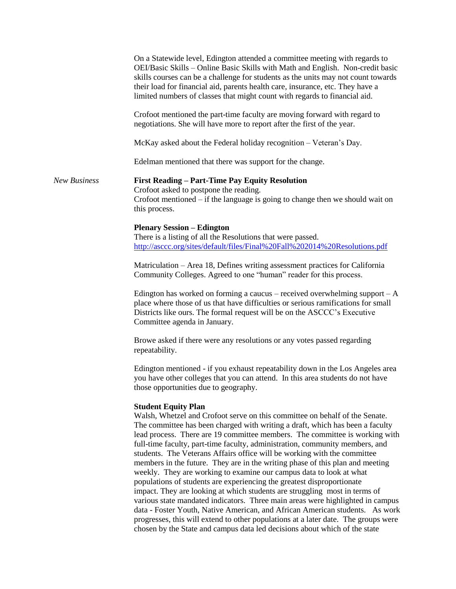|                     | On a Statewide level, Edington attended a committee meeting with regards to<br>OEI/Basic Skills - Online Basic Skills with Math and English. Non-credit basic<br>skills courses can be a challenge for students as the units may not count towards<br>their load for financial aid, parents health care, insurance, etc. They have a<br>limited numbers of classes that might count with regards to financial aid.                                                                                                                                                                                                                                                                                                                                                                                                                                                                                                                                                                                                                                                                          |
|---------------------|---------------------------------------------------------------------------------------------------------------------------------------------------------------------------------------------------------------------------------------------------------------------------------------------------------------------------------------------------------------------------------------------------------------------------------------------------------------------------------------------------------------------------------------------------------------------------------------------------------------------------------------------------------------------------------------------------------------------------------------------------------------------------------------------------------------------------------------------------------------------------------------------------------------------------------------------------------------------------------------------------------------------------------------------------------------------------------------------|
|                     | Crofoot mentioned the part-time faculty are moving forward with regard to<br>negotiations. She will have more to report after the first of the year.                                                                                                                                                                                                                                                                                                                                                                                                                                                                                                                                                                                                                                                                                                                                                                                                                                                                                                                                        |
|                     | McKay asked about the Federal holiday recognition - Veteran's Day.                                                                                                                                                                                                                                                                                                                                                                                                                                                                                                                                                                                                                                                                                                                                                                                                                                                                                                                                                                                                                          |
|                     | Edelman mentioned that there was support for the change.                                                                                                                                                                                                                                                                                                                                                                                                                                                                                                                                                                                                                                                                                                                                                                                                                                                                                                                                                                                                                                    |
| <b>New Business</b> | <b>First Reading - Part-Time Pay Equity Resolution</b><br>Crofoot asked to postpone the reading.<br>Crofoot mentioned $-$ if the language is going to change then we should wait on<br>this process.                                                                                                                                                                                                                                                                                                                                                                                                                                                                                                                                                                                                                                                                                                                                                                                                                                                                                        |
|                     | <b>Plenary Session – Edington</b><br>There is a listing of all the Resolutions that were passed.<br>http://asccc.org/sites/default/files/Final%20Fall%202014%20Resolutions.pdf                                                                                                                                                                                                                                                                                                                                                                                                                                                                                                                                                                                                                                                                                                                                                                                                                                                                                                              |
|                     | Matriculation – Area 18, Defines writing assessment practices for California<br>Community Colleges. Agreed to one "human" reader for this process.                                                                                                                                                                                                                                                                                                                                                                                                                                                                                                                                                                                                                                                                                                                                                                                                                                                                                                                                          |
|                     | Edington has worked on forming a caucus – received overwhelming support – $A$<br>place where those of us that have difficulties or serious ramifications for small<br>Districts like ours. The formal request will be on the ASCCC's Executive<br>Committee agenda in January.                                                                                                                                                                                                                                                                                                                                                                                                                                                                                                                                                                                                                                                                                                                                                                                                              |
|                     | Browe asked if there were any resolutions or any votes passed regarding<br>repeatability.                                                                                                                                                                                                                                                                                                                                                                                                                                                                                                                                                                                                                                                                                                                                                                                                                                                                                                                                                                                                   |
|                     | Edington mentioned - if you exhaust repeatability down in the Los Angeles area<br>you have other colleges that you can attend. In this area students do not have<br>those opportunities due to geography.                                                                                                                                                                                                                                                                                                                                                                                                                                                                                                                                                                                                                                                                                                                                                                                                                                                                                   |
|                     | <b>Student Equity Plan</b><br>Walsh, Whetzel and Crofoot serve on this committee on behalf of the Senate.<br>The committee has been charged with writing a draft, which has been a faculty<br>lead process. There are 19 committee members. The committee is working with<br>full-time faculty, part-time faculty, administration, community members, and<br>students. The Veterans Affairs office will be working with the committee<br>members in the future. They are in the writing phase of this plan and meeting<br>weekly. They are working to examine our campus data to look at what<br>populations of students are experiencing the greatest disproportionate<br>impact. They are looking at which students are struggling most in terms of<br>various state mandated indicators. Three main areas were highlighted in campus<br>data - Foster Youth, Native American, and African American students. As work<br>progresses, this will extend to other populations at a later date. The groups were<br>chosen by the State and campus data led decisions about which of the state |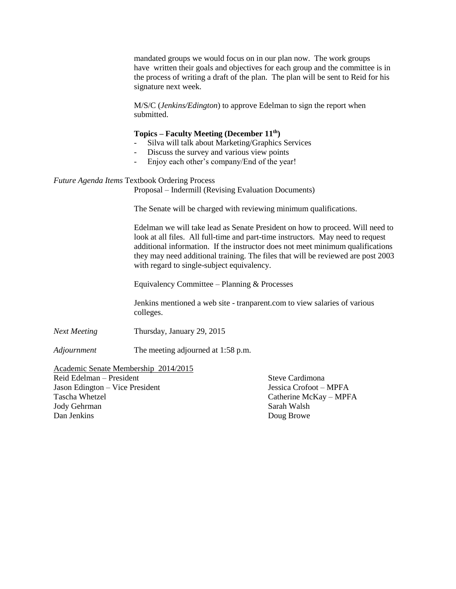mandated groups we would focus on in our plan now. The work groups have written their goals and objectives for each group and the committee is in the process of writing a draft of the plan. The plan will be sent to Reid for his signature next week.

M/S/C (*Jenkins/Edington*) to approve Edelman to sign the report when submitted.

### **Topics – Faculty Meeting (December 11th)**

- Silva will talk about Marketing/Graphics Services
- Discuss the survey and various view points
- Enjoy each other's company/End of the year!

#### *Future Agenda Items* Textbook Ordering Process

Proposal – Indermill (Revising Evaluation Documents)

The Senate will be charged with reviewing minimum qualifications.

Edelman we will take lead as Senate President on how to proceed. Will need to look at all files. All full-time and part-time instructors. May need to request additional information. If the instructor does not meet minimum qualifications they may need additional training. The files that will be reviewed are post 2003 with regard to single-subject equivalency.

Equivalency Committee – Planning & Processes

Jenkins mentioned a web site - tranparent.com to view salaries of various colleges.

*Next Meeting* Thursday, January 29, 2015

*Adjournment* The meeting adjourned at 1:58 p.m.

### Academic Senate Membership 2014/2015

Reid Edelman – President Steve Cardimona Jason Edington – Vice President Jessica Crofoot – MPFA Tascha Whetzel Catherine McKay – MPFA Jody Gehrman Sarah Walsh Dan Jenkins Doug Browe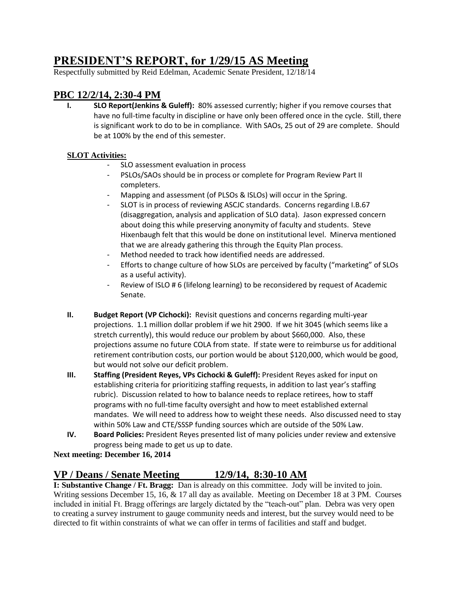# **PRESIDENT'S REPORT, for 1/29/15 AS Meeting**

Respectfully submitted by Reid Edelman, Academic Senate President, 12/18/14

# **PBC 12/2/14, 2:30-4 PM**

**I. SLO Report(Jenkins & Guleff):** 80% assessed currently; higher if you remove courses that have no full-time faculty in discipline or have only been offered once in the cycle. Still, there is significant work to do to be in compliance. With SAOs, 25 out of 29 are complete. Should be at 100% by the end of this semester.

# **SLOT Activities:**

- SLO assessment evaluation in process
- PSLOs/SAOs should be in process or complete for Program Review Part II completers.
- Mapping and assessment (of PLSOs & ISLOs) will occur in the Spring.
- SLOT is in process of reviewing ASCJC standards. Concerns regarding I.B.67 (disaggregation, analysis and application of SLO data). Jason expressed concern about doing this while preserving anonymity of faculty and students. Steve Hixenbaugh felt that this would be done on institutional level. Minerva mentioned that we are already gathering this through the Equity Plan process.
- Method needed to track how identified needs are addressed.
- Efforts to change culture of how SLOs are perceived by faculty ("marketing" of SLOs as a useful activity).
- Review of ISLO # 6 (lifelong learning) to be reconsidered by request of Academic Senate.
- **II. Budget Report (VP Cichocki):** Revisit questions and concerns regarding multi-year projections. 1.1 million dollar problem if we hit 2900. If we hit 3045 (which seems like a stretch currently), this would reduce our problem by about \$660,000. Also, these projections assume no future COLA from state. If state were to reimburse us for additional retirement contribution costs, our portion would be about \$120,000, which would be good, but would not solve our deficit problem.
- **III. Staffing (President Reyes, VPs Cichocki & Guleff):** President Reyes asked for input on establishing criteria for prioritizing staffing requests, in addition to last year's staffing rubric). Discussion related to how to balance needs to replace retirees, how to staff programs with no full-time faculty oversight and how to meet established external mandates. We will need to address how to weight these needs. Also discussed need to stay within 50% Law and CTE/SSSP funding sources which are outside of the 50% Law.
- **IV. Board Policies:** President Reyes presented list of many policies under review and extensive progress being made to get us up to date.

# **Next meeting: December 16, 2014**

# **VP / Deans / Senate Meeting 12/9/14, 8:30-10 AM**

**I: Substantive Change / Ft. Bragg:** Dan is already on this committee. Jody will be invited to join. Writing sessions December 15, 16, & 17 all day as available. Meeting on December 18 at 3 PM. Courses included in initial Ft. Bragg offerings are largely dictated by the "teach-out" plan. Debra was very open to creating a survey instrument to gauge community needs and interest, but the survey would need to be directed to fit within constraints of what we can offer in terms of facilities and staff and budget.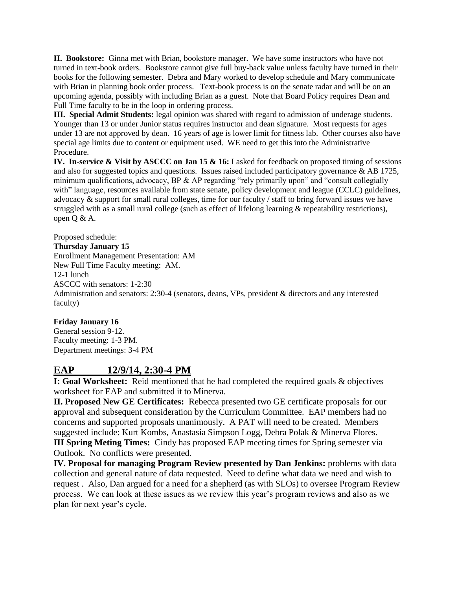**II. Bookstore:** Ginna met with Brian, bookstore manager. We have some instructors who have not turned in text-book orders. Bookstore cannot give full buy-back value unless faculty have turned in their books for the following semester. Debra and Mary worked to develop schedule and Mary communicate with Brian in planning book order process. Text-book process is on the senate radar and will be on an upcoming agenda, possibly with including Brian as a guest. Note that Board Policy requires Dean and Full Time faculty to be in the loop in ordering process.

**III. Special Admit Students:** legal opinion was shared with regard to admission of underage students. Younger than 13 or under Junior status requires instructor and dean signature. Most requests for ages under 13 are not approved by dean. 16 years of age is lower limit for fitness lab. Other courses also have special age limits due to content or equipment used. WE need to get this into the Administrative Procedure.

**IV. In-service & Visit by ASCCC on Jan 15 & 16:** I asked for feedback on proposed timing of sessions and also for suggested topics and questions. Issues raised included participatory governance & AB 1725, minimum qualifications, advocacy, BP & AP regarding "rely primarily upon" and "consult collegially with" language, resources available from state senate, policy development and league (CCLC) guidelines, advocacy & support for small rural colleges, time for our faculty / staff to bring forward issues we have struggled with as a small rural college (such as effect of lifelong learning & repeatability restrictions), open Q & A.

Proposed schedule:

# **Thursday January 15**

Enrollment Management Presentation: AM New Full Time Faculty meeting: AM. 12-1 lunch ASCCC with senators: 1-2:30 Administration and senators: 2:30-4 (senators, deans, VPs, president & directors and any interested faculty)

# **Friday January 16**

General session 9-12. Faculty meeting: 1-3 PM. Department meetings: 3-4 PM

# **EAP 12/9/14, 2:30-4 PM**

**I: Goal Worksheet:** Reid mentioned that he had completed the required goals & objectives worksheet for EAP and submitted it to Minerva.

**II. Proposed New GE Certificates:** Rebecca presented two GE certificate proposals for our approval and subsequent consideration by the Curriculum Committee. EAP members had no concerns and supported proposals unanimously. A PAT will need to be created. Members suggested include: Kurt Kombs, Anastasia Simpson Logg, Debra Polak & Minerva Flores. **III Spring Meting Times:** Cindy has proposed EAP meeting times for Spring semester via Outlook. No conflicts were presented.

**IV. Proposal for managing Program Review presented by Dan Jenkins:** problems with data collection and general nature of data requested. Need to define what data we need and wish to request . Also, Dan argued for a need for a shepherd (as with SLOs) to oversee Program Review process. We can look at these issues as we review this year's program reviews and also as we plan for next year's cycle.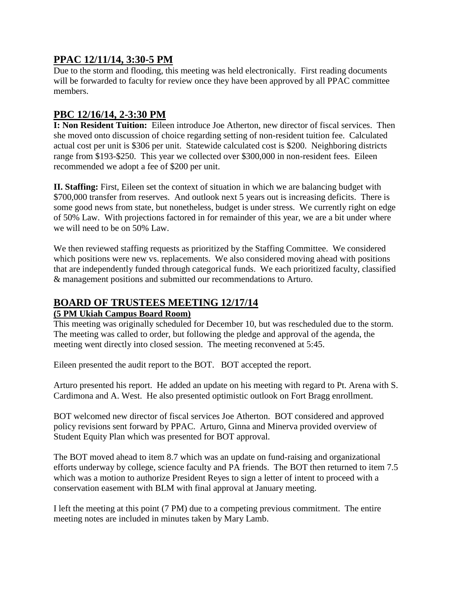# **PPAC 12/11/14, 3:30-5 PM**

Due to the storm and flooding, this meeting was held electronically. First reading documents will be forwarded to faculty for review once they have been approved by all PPAC committee members.

# **PBC 12/16/14, 2-3:30 PM**

**I: Non Resident Tuition:** Eileen introduce Joe Atherton, new director of fiscal services. Then she moved onto discussion of choice regarding setting of non-resident tuition fee. Calculated actual cost per unit is \$306 per unit. Statewide calculated cost is \$200. Neighboring districts range from \$193-\$250. This year we collected over \$300,000 in non-resident fees. Eileen recommended we adopt a fee of \$200 per unit.

**II. Staffing:** First, Eileen set the context of situation in which we are balancing budget with \$700,000 transfer from reserves. And outlook next 5 years out is increasing deficits. There is some good news from state, but nonetheless, budget is under stress. We currently right on edge of 50% Law. With projections factored in for remainder of this year, we are a bit under where we will need to be on 50% Law.

We then reviewed staffing requests as prioritized by the Staffing Committee. We considered which positions were new vs. replacements. We also considered moving ahead with positions that are independently funded through categorical funds. We each prioritized faculty, classified & management positions and submitted our recommendations to Arturo.

# **BOARD OF TRUSTEES MEETING 12/17/14**

# **(5 PM Ukiah Campus Board Room)**

This meeting was originally scheduled for December 10, but was rescheduled due to the storm. The meeting was called to order, but following the pledge and approval of the agenda, the meeting went directly into closed session. The meeting reconvened at 5:45.

Eileen presented the audit report to the BOT. BOT accepted the report.

Arturo presented his report. He added an update on his meeting with regard to Pt. Arena with S. Cardimona and A. West. He also presented optimistic outlook on Fort Bragg enrollment.

BOT welcomed new director of fiscal services Joe Atherton. BOT considered and approved policy revisions sent forward by PPAC. Arturo, Ginna and Minerva provided overview of Student Equity Plan which was presented for BOT approval.

The BOT moved ahead to item 8.7 which was an update on fund-raising and organizational efforts underway by college, science faculty and PA friends. The BOT then returned to item 7.5 which was a motion to authorize President Reyes to sign a letter of intent to proceed with a conservation easement with BLM with final approval at January meeting.

I left the meeting at this point (7 PM) due to a competing previous commitment. The entire meeting notes are included in minutes taken by Mary Lamb.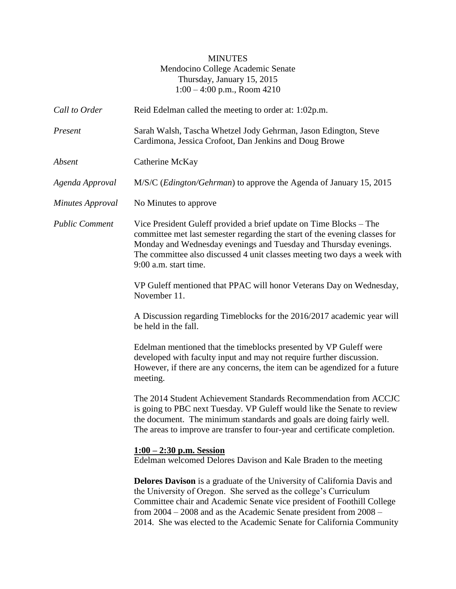# MINUTES Mendocino College Academic Senate Thursday, January 15, 2015 1:00 – 4:00 p.m., Room 4210

| Call to Order         | Reid Edelman called the meeting to order at: 1:02p.m.                                                                                                                                                                                                                                                                                                                          |
|-----------------------|--------------------------------------------------------------------------------------------------------------------------------------------------------------------------------------------------------------------------------------------------------------------------------------------------------------------------------------------------------------------------------|
| Present               | Sarah Walsh, Tascha Whetzel Jody Gehrman, Jason Edington, Steve<br>Cardimona, Jessica Crofoot, Dan Jenkins and Doug Browe                                                                                                                                                                                                                                                      |
| Absent                | Catherine McKay                                                                                                                                                                                                                                                                                                                                                                |
| Agenda Approval       | M/S/C (Edington/Gehrman) to approve the Agenda of January 15, 2015                                                                                                                                                                                                                                                                                                             |
| Minutes Approval      | No Minutes to approve                                                                                                                                                                                                                                                                                                                                                          |
| <b>Public Comment</b> | Vice President Guleff provided a brief update on Time Blocks – The<br>committee met last semester regarding the start of the evening classes for<br>Monday and Wednesday evenings and Tuesday and Thursday evenings.<br>The committee also discussed 4 unit classes meeting two days a week with<br>9:00 a.m. start time.                                                      |
|                       | VP Guleff mentioned that PPAC will honor Veterans Day on Wednesday,<br>November 11.                                                                                                                                                                                                                                                                                            |
|                       | A Discussion regarding Timeblocks for the 2016/2017 academic year will<br>be held in the fall.                                                                                                                                                                                                                                                                                 |
|                       | Edelman mentioned that the timeblocks presented by VP Guleff were<br>developed with faculty input and may not require further discussion.<br>However, if there are any concerns, the item can be agendized for a future<br>meeting.                                                                                                                                            |
|                       | The 2014 Student Achievement Standards Recommendation from ACCJC<br>is going to PBC next Tuesday. VP Guleff would like the Senate to review<br>the document. The minimum standards and goals are doing fairly well.<br>The areas to improve are transfer to four-year and certificate completion.                                                                              |
|                       | $1:00 - 2:30$ p.m. Session<br>Edelman welcomed Delores Davison and Kale Braden to the meeting                                                                                                                                                                                                                                                                                  |
|                       | <b>Delores Davison</b> is a graduate of the University of California Davis and<br>the University of Oregon. She served as the college's Curriculum<br>Committee chair and Academic Senate vice president of Foothill College<br>from $2004 - 2008$ and as the Academic Senate president from $2008 -$<br>2014. She was elected to the Academic Senate for California Community |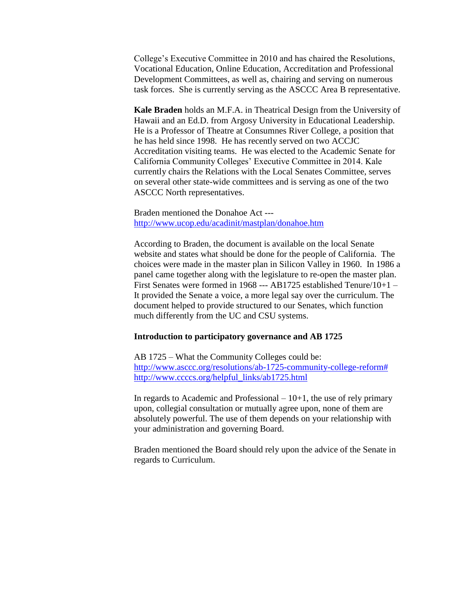College's Executive Committee in 2010 and has chaired the Resolutions, Vocational Education, Online Education, Accreditation and Professional Development Committees, as well as, chairing and serving on numerous task forces. She is currently serving as the ASCCC Area B representative.

**Kale Braden** holds an M.F.A. in Theatrical Design from the University of Hawaii and an Ed.D. from Argosy University in Educational Leadership. He is a Professor of Theatre at Consumnes River College, a position that he has held since 1998. He has recently served on two ACCJC Accreditation visiting teams. He was elected to the Academic Senate for California Community Colleges' Executive Committee in 2014. Kale currently chairs the Relations with the Local Senates Committee, serves on several other state-wide committees and is serving as one of the two ASCCC North representatives.

Braden mentioned the Donahoe Act -- <http://www.ucop.edu/acadinit/mastplan/donahoe.htm>

According to Braden, the document is available on the local Senate website and states what should be done for the people of California. The choices were made in the master plan in Silicon Valley in 1960. In 1986 a panel came together along with the legislature to re-open the master plan. First Senates were formed in 1968 --- AB1725 established Tenure/10+1 – It provided the Senate a voice, a more legal say over the curriculum. The document helped to provide structured to our Senates, which function much differently from the UC and CSU systems.

## **Introduction to participatory governance and AB 1725**

AB 1725 – What the Community Colleges could be: [http://www.asccc.org/resolutions/ab-1725-community-college-reform#](http://www.asccc.org/resolutions/ab-1725-community-college-reform) [http://www.ccccs.org/helpful\\_links/ab1725.html](http://www.ccccs.org/helpful_links/ab1725.html)

In regards to Academic and Professional  $-10+1$ , the use of rely primary upon, collegial consultation or mutually agree upon, none of them are absolutely powerful. The use of them depends on your relationship with your administration and governing Board.

Braden mentioned the Board should rely upon the advice of the Senate in regards to Curriculum.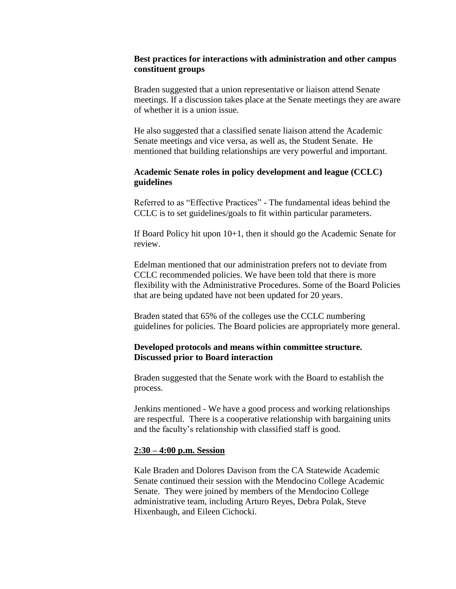# **Best practices for interactions with administration and other campus constituent groups**

Braden suggested that a union representative or liaison attend Senate meetings. If a discussion takes place at the Senate meetings they are aware of whether it is a union issue.

He also suggested that a classified senate liaison attend the Academic Senate meetings and vice versa, as well as, the Student Senate. He mentioned that building relationships are very powerful and important.

# **Academic Senate roles in policy development and league (CCLC) guidelines**

Referred to as "Effective Practices" - The fundamental ideas behind the CCLC is to set guidelines/goals to fit within particular parameters.

If Board Policy hit upon 10+1, then it should go the Academic Senate for review.

Edelman mentioned that our administration prefers not to deviate from CCLC recommended policies. We have been told that there is more flexibility with the Administrative Procedures. Some of the Board Policies that are being updated have not been updated for 20 years.

Braden stated that 65% of the colleges use the CCLC numbering guidelines for policies. The Board policies are appropriately more general.

# **Developed protocols and means within committee structure. Discussed prior to Board interaction**

Braden suggested that the Senate work with the Board to establish the process.

Jenkins mentioned - We have a good process and working relationships are respectful. There is a cooperative relationship with bargaining units and the faculty's relationship with classified staff is good.

## **2:30 – 4:00 p.m. Session**

Kale Braden and Dolores Davison from the CA Statewide Academic Senate continued their session with the Mendocino College Academic Senate. They were joined by members of the Mendocino College administrative team, including Arturo Reyes, Debra Polak, Steve Hixenbaugh, and Eileen Cichocki.